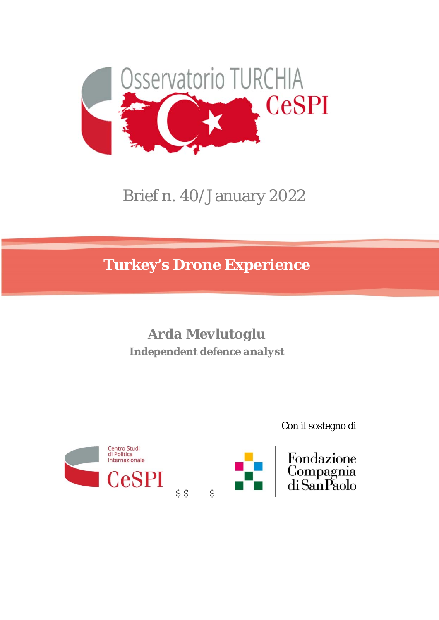

# Brief n. 40/January 2022

**Turkey's Drone Experience** 

*Arda Mevlutoglu Independent defence analyst*





Con il sostegno di

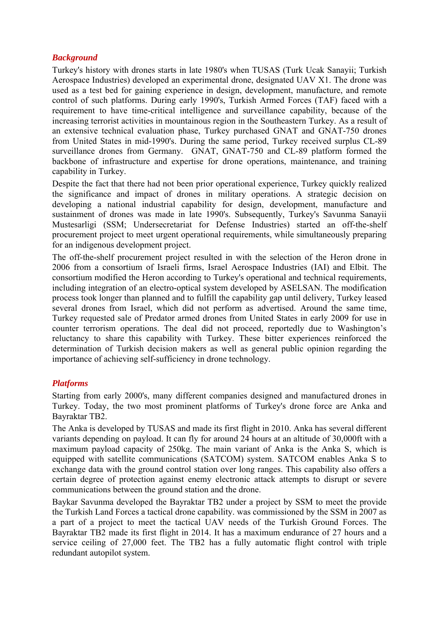### *Background*

Turkey's history with drones starts in late 1980's when TUSAS (Turk Ucak Sanayii; Turkish Aerospace Industries) developed an experimental drone, designated UAV X1. The drone was used as a test bed for gaining experience in design, development, manufacture, and remote control of such platforms. During early 1990's, Turkish Armed Forces (TAF) faced with a requirement to have time-critical intelligence and surveillance capability, because of the increasing terrorist activities in mountainous region in the Southeastern Turkey. As a result of an extensive technical evaluation phase, Turkey purchased GNAT and GNAT-750 drones from United States in mid-1990's. During the same period, Turkey received surplus CL-89 surveillance drones from Germany. GNAT, GNAT-750 and CL-89 platform formed the backbone of infrastructure and expertise for drone operations, maintenance, and training capability in Turkey.

Despite the fact that there had not been prior operational experience, Turkey quickly realized the significance and impact of drones in military operations. A strategic decision on developing a national industrial capability for design, development, manufacture and sustainment of drones was made in late 1990's. Subsequently, Turkey's Savunma Sanayii Mustesarligi (SSM; Undersecretariat for Defense Industries) started an off-the-shelf procurement project to meet urgent operational requirements, while simultaneously preparing for an indigenous development project.

The off-the-shelf procurement project resulted in with the selection of the Heron drone in 2006 from a consortium of Israeli firms, Israel Aerospace Industries (IAI) and Elbit. The consortium modified the Heron according to Turkey's operational and technical requirements, including integration of an electro-optical system developed by ASELSAN. The modification process took longer than planned and to fulfill the capability gap until delivery, Turkey leased several drones from Israel, which did not perform as advertised. Around the same time, Turkey requested sale of Predator armed drones from United States in early 2009 for use in counter terrorism operations. The deal did not proceed, reportedly due to Washington's reluctancy to share this capability with Turkey. These bitter experiences reinforced the determination of Turkish decision makers as well as general public opinion regarding the importance of achieving self-sufficiency in drone technology.

# *Platforms*

Starting from early 2000's, many different companies designed and manufactured drones in Turkey. Today, the two most prominent platforms of Turkey's drone force are Anka and Bayraktar TB2.

The Anka is developed by TUSAS and made its first flight in 2010. Anka has several different variants depending on payload. It can fly for around 24 hours at an altitude of 30,000ft with a maximum payload capacity of 250kg. The main variant of Anka is the Anka S, which is equipped with satellite communications (SATCOM) system. SATCOM enables Anka S to exchange data with the ground control station over long ranges. This capability also offers a certain degree of protection against enemy electronic attack attempts to disrupt or severe communications between the ground station and the drone.

Baykar Savunma developed the Bayraktar TB2 under a project by SSM to meet the provide the Turkish Land Forces a tactical drone capability. was commissioned by the SSM in 2007 as a part of a project to meet the tactical UAV needs of the Turkish Ground Forces. The Bayraktar TB2 made its first flight in 2014. It has a maximum endurance of 27 hours and a service ceiling of 27,000 feet. The TB2 has a fully automatic flight control with triple redundant autopilot system.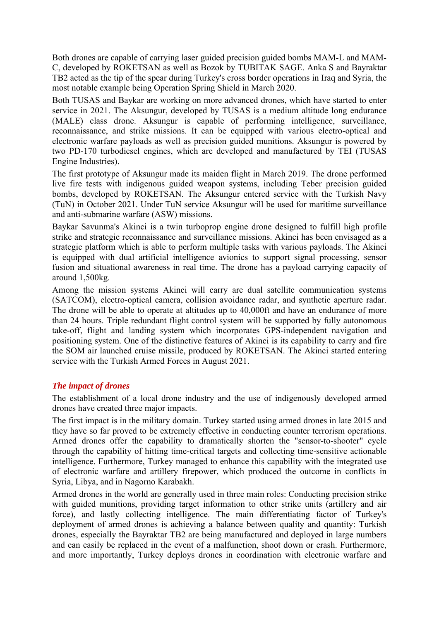Both drones are capable of carrying laser guided precision guided bombs MAM-L and MAM-C, developed by ROKETSAN as well as Bozok by TUBITAK SAGE. Anka S and Bayraktar TB2 acted as the tip of the spear during Turkey's cross border operations in Iraq and Syria, the most notable example being Operation Spring Shield in March 2020.

Both TUSAS and Baykar are working on more advanced drones, which have started to enter service in 2021. The Aksungur, developed by TUSAS is a medium altitude long endurance (MALE) class drone. Aksungur is capable of performing intelligence, surveillance, reconnaissance, and strike missions. It can be equipped with various electro-optical and electronic warfare payloads as well as precision guided munitions. Aksungur is powered by two PD-170 turbodiesel engines, which are developed and manufactured by TEI (TUSAS Engine Industries).

The first prototype of Aksungur made its maiden flight in March 2019. The drone performed live fire tests with indigenous guided weapon systems, including Teber precision guided bombs, developed by ROKETSAN. The Aksungur entered service with the Turkish Navy (TuN) in October 2021. Under TuN service Aksungur will be used for maritime surveillance and anti-submarine warfare (ASW) missions.

Baykar Savunma's Akinci is a twin turboprop engine drone designed to fulfill high profile strike and strategic reconnaissance and surveillance missions. Akinci has been envisaged as a strategic platform which is able to perform multiple tasks with various payloads. The Akinci is equipped with dual artificial intelligence avionics to support signal processing, sensor fusion and situational awareness in real time. The drone has a payload carrying capacity of around 1,500kg.

Among the mission systems Akinci will carry are dual satellite communication systems (SATCOM), electro-optical camera, collision avoidance radar, and synthetic aperture radar. The drone will be able to operate at altitudes up to 40,000ft and have an endurance of more than 24 hours. Triple redundant flight control system will be supported by fully autonomous take-off, flight and landing system which incorporates GPS-independent navigation and positioning system. One of the distinctive features of Akinci is its capability to carry and fire the SOM air launched cruise missile, produced by ROKETSAN. The Akinci started entering service with the Turkish Armed Forces in August 2021.

# *The impact of drones*

The establishment of a local drone industry and the use of indigenously developed armed drones have created three major impacts.

The first impact is in the military domain. Turkey started using armed drones in late 2015 and they have so far proved to be extremely effective in conducting counter terrorism operations. Armed drones offer the capability to dramatically shorten the "sensor-to-shooter" cycle through the capability of hitting time-critical targets and collecting time-sensitive actionable intelligence. Furthermore, Turkey managed to enhance this capability with the integrated use of electronic warfare and artillery firepower, which produced the outcome in conflicts in Syria, Libya, and in Nagorno Karabakh.

Armed drones in the world are generally used in three main roles: Conducting precision strike with guided munitions, providing target information to other strike units (artillery and air force), and lastly collecting intelligence. The main differentiating factor of Turkey's deployment of armed drones is achieving a balance between quality and quantity: Turkish drones, especially the Bayraktar TB2 are being manufactured and deployed in large numbers and can easily be replaced in the event of a malfunction, shoot down or crash. Furthermore, and more importantly, Turkey deploys drones in coordination with electronic warfare and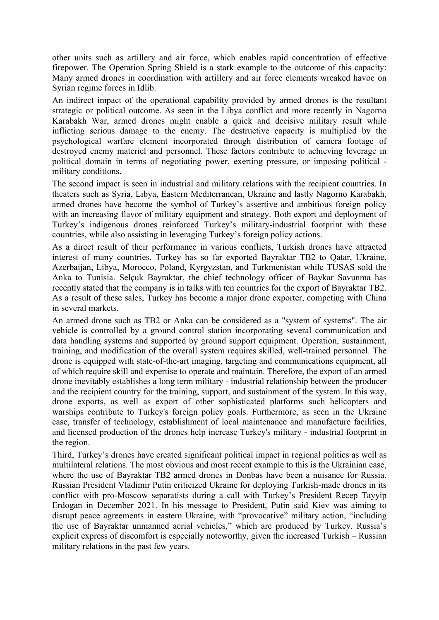other units such as artillery and air force, which enables rapid concentration of effective firepower. The Operation Spring Shield is a stark example to the outcome of this capacity: Many armed drones in coordination with artillery and air force elements wreaked havoc on Syrian regime forces in Idlib.

An indirect impact of the operational capability provided by armed drones is the resultant strategic or political outcome. As seen in the Libya conflict and more recently in Nagorno Karabakh War, armed drones might enable a quick and decisive military result while inflicting serious damage to the enemy. The destructive capacity is multiplied by the psychological warfare element incorporated through distribution of camera footage of destroyed enemy materiel and personnel. These factors contribute to achieving leverage in political domain in terms of negotiating power, exerting pressure, or imposing political military conditions.

The second impact is seen in industrial and military relations with the recipient countries. In theaters such as Syria, Libya, Eastern Mediterranean, Ukraine and lastly Nagorno Karabakh, armed drones have become the symbol of Turkey's assertive and ambitious foreign policy with an increasing flavor of military equipment and strategy. Both export and deployment of Turkey's indigenous drones reinforced Turkey's military-industrial footprint with these countries, while also assisting in leveraging Turkey's foreign policy actions.

As a direct result of their performance in various conflicts, Turkish drones have attracted interest of many countries. Turkey has so far exported Bayraktar TB2 to Qatar, Ukraine, Azerbaijan, Libya, Morocco, Poland, Kyrgyzstan, and Turkmenistan while TUSAS sold the Anka to Tunisia. Selçuk Bayraktar, the chief technology officer of Baykar Savunma has recently stated that the company is in talks with ten countries for the export of Bayraktar TB2. As a result of these sales, Turkey has become a major drone exporter, competing with China in several markets.

An armed drone such as TB2 or Anka can be considered as a "system of systems". The air vehicle is controlled by a ground control station incorporating several communication and data handling systems and supported by ground support equipment. Operation, sustainment, training, and modification of the overall system requires skilled, well-trained personnel. The drone is equipped with state-of-the-art imaging, targeting and communications equipment, all of which require skill and expertise to operate and maintain. Therefore, the export of an armed drone inevitably establishes a long term military - industrial relationship between the producer and the recipient country for the training, support, and sustainment of the system. In this way, drone exports, as well as export of other sophisticated platforms such helicopters and warships contribute to Turkey's foreign policy goals. Furthermore, as seen in the Ukraine case, transfer of technology, establishment of local maintenance and manufacture facilities, and licensed production of the drones help increase Turkey's military - industrial footprint in the region.

Third, Turkey's drones have created significant political impact in regional politics as well as multilateral relations. The most obvious and most recent example to this is the Ukrainian case, where the use of Bayraktar TB2 armed drones in Donbas have been a nuisance for Russia. Russian President Vladimir Putin criticized Ukraine for deploying Turkish-made drones in its conflict with pro-Moscow separatists during a call with Turkey's President Recep Tayyip Erdogan in December 2021. In his message to President, Putin said Kiev was aiming to disrupt peace agreements in eastern Ukraine, with "provocative" military action, "including the use of Bayraktar unmanned aerial vehicles," which are produced by Turkey. Russia's explicit express of discomfort is especially noteworthy, given the increased Turkish – Russian military relations in the past few years.